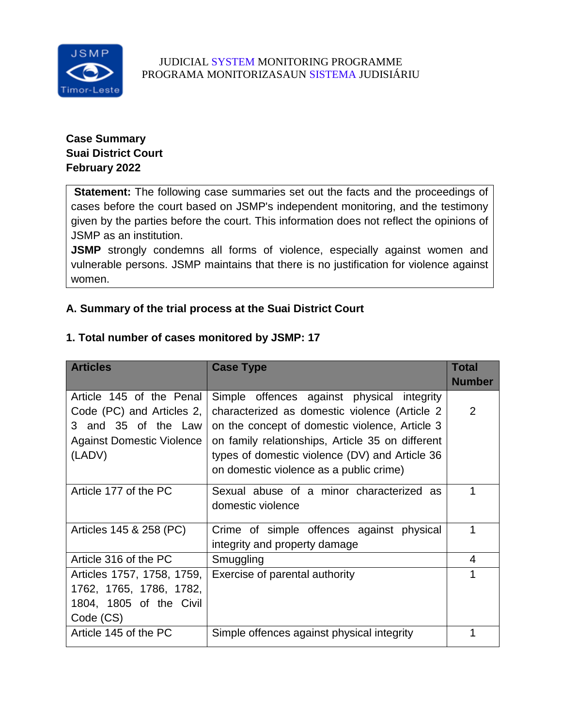

# **Case Summary Suai District Court February 2022**

**Statement:** The following case summaries set out the facts and the proceedings of cases before the court based on JSMP's independent monitoring, and the testimony given by the parties before the court. This information does not reflect the opinions of JSMP as an institution.

**JSMP** strongly condemns all forms of violence, especially against women and vulnerable persons. JSMP maintains that there is no justification for violence against women.

# **A. Summary of the trial process at the Suai District Court**

## **1. Total number of cases monitored by JSMP: 17**

| <b>Articles</b>                  | <b>Case Type</b>                                 | <b>Total</b>   |
|----------------------------------|--------------------------------------------------|----------------|
|                                  |                                                  | <b>Number</b>  |
| Article 145 of the Penal         | Simple offences against physical integrity       |                |
| Code (PC) and Articles 2,        | characterized as domestic violence (Article 2)   | 2              |
| 3 and 35 of the Law              | on the concept of domestic violence, Article 3   |                |
| <b>Against Domestic Violence</b> | on family relationships, Article 35 on different |                |
| (LADV)                           | types of domestic violence (DV) and Article 36   |                |
|                                  | on domestic violence as a public crime)          |                |
| Article 177 of the PC            | Sexual abuse of a minor characterized as         |                |
|                                  | domestic violence                                |                |
| Articles 145 & 258 (PC)          | Crime of simple offences against physical        | 1              |
|                                  | integrity and property damage                    |                |
| Article 316 of the PC            | Smuggling                                        | $\overline{4}$ |
| Articles 1757, 1758, 1759,       | Exercise of parental authority                   |                |
| 1762, 1765, 1786, 1782,          |                                                  |                |
| 1804, 1805 of the Civil          |                                                  |                |
| Code (CS)                        |                                                  |                |
| Article 145 of the PC            | Simple offences against physical integrity       |                |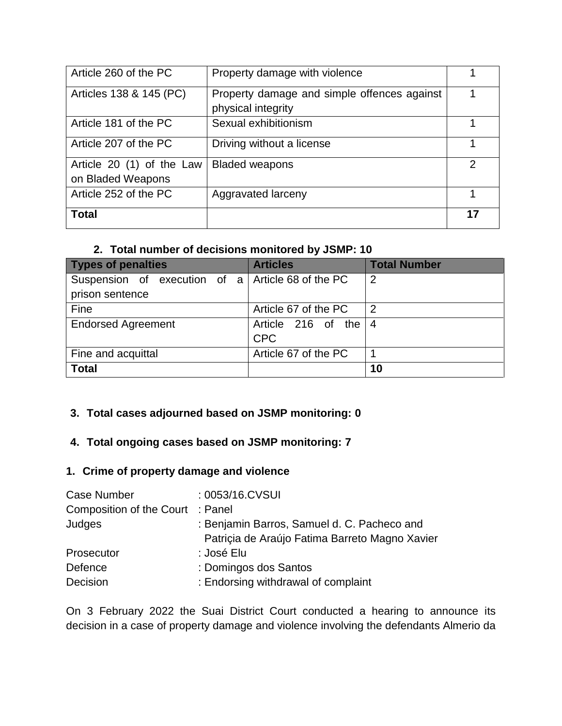| Article 260 of the PC     | Property damage with violence                                     |    |
|---------------------------|-------------------------------------------------------------------|----|
| Articles 138 & 145 (PC)   | Property damage and simple offences against<br>physical integrity |    |
|                           |                                                                   |    |
| Article 181 of the PC     | Sexual exhibitionism                                              |    |
| Article 207 of the PC     | Driving without a license                                         |    |
| Article 20 (1) of the Law | <b>Bladed weapons</b>                                             | 2  |
| on Bladed Weapons         |                                                                   |    |
| Article 252 of the PC     | Aggravated larceny                                                |    |
| <b>Total</b>              |                                                                   | 17 |

# **2. Total number of decisions monitored by JSMP: 10**

| <b>Types of penalties</b>                                | <b>Articles</b>      | <b>Total Number</b> |
|----------------------------------------------------------|----------------------|---------------------|
| Suspension of execution of $a \mid$ Article 68 of the PC |                      | $\overline{2}$      |
| prison sentence                                          |                      |                     |
| Fine                                                     | Article 67 of the PC | $\overline{2}$      |
| <b>Endorsed Agreement</b>                                | Article 216 of the   | -4                  |
|                                                          | <b>CPC</b>           |                     |
| Fine and acquittal                                       | Article 67 of the PC |                     |
| <b>Total</b>                                             |                      | 10                  |

# **3. Total cases adjourned based on JSMP monitoring: 0**

## **4. Total ongoing cases based on JSMP monitoring: 7**

# **1. Crime of property damage and violence**

| : 0053/16.CVSUI                                |
|------------------------------------------------|
| Composition of the Court : Panel               |
| : Benjamin Barros, Samuel d. C. Pacheco and    |
| Patriçia de Araújo Fatima Barreto Magno Xavier |
| : José Elu                                     |
| : Domingos dos Santos                          |
| : Endorsing withdrawal of complaint            |
|                                                |

On 3 February 2022 the Suai District Court conducted a hearing to announce its decision in a case of property damage and violence involving the defendants Almerio da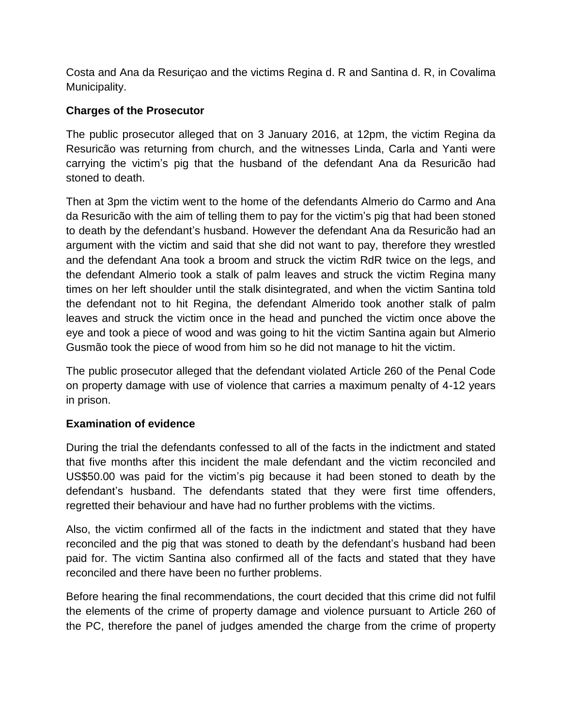Costa and Ana da Resuriçao and the victims Regina d. R and Santina d. R, in Covalima Municipality.

# **Charges of the Prosecutor**

The public prosecutor alleged that on 3 January 2016, at 12pm, the victim Regina da Resuricão was returning from church, and the witnesses Linda, Carla and Yanti were carrying the victim's pig that the husband of the defendant Ana da Resuricão had stoned to death.

Then at 3pm the victim went to the home of the defendants Almerio do Carmo and Ana da Resuricão with the aim of telling them to pay for the victim's pig that had been stoned to death by the defendant's husband. However the defendant Ana da Resuricão had an argument with the victim and said that she did not want to pay, therefore they wrestled and the defendant Ana took a broom and struck the victim RdR twice on the legs, and the defendant Almerio took a stalk of palm leaves and struck the victim Regina many times on her left shoulder until the stalk disintegrated, and when the victim Santina told the defendant not to hit Regina, the defendant Almerido took another stalk of palm leaves and struck the victim once in the head and punched the victim once above the eye and took a piece of wood and was going to hit the victim Santina again but Almerio Gusmão took the piece of wood from him so he did not manage to hit the victim.

The public prosecutor alleged that the defendant violated Article 260 of the Penal Code on property damage with use of violence that carries a maximum penalty of 4-12 years in prison.

## **Examination of evidence**

During the trial the defendants confessed to all of the facts in the indictment and stated that five months after this incident the male defendant and the victim reconciled and US\$50.00 was paid for the victim's pig because it had been stoned to death by the defendant's husband. The defendants stated that they were first time offenders, regretted their behaviour and have had no further problems with the victims.

Also, the victim confirmed all of the facts in the indictment and stated that they have reconciled and the pig that was stoned to death by the defendant's husband had been paid for. The victim Santina also confirmed all of the facts and stated that they have reconciled and there have been no further problems.

Before hearing the final recommendations, the court decided that this crime did not fulfil the elements of the crime of property damage and violence pursuant to Article 260 of the PC, therefore the panel of judges amended the charge from the crime of property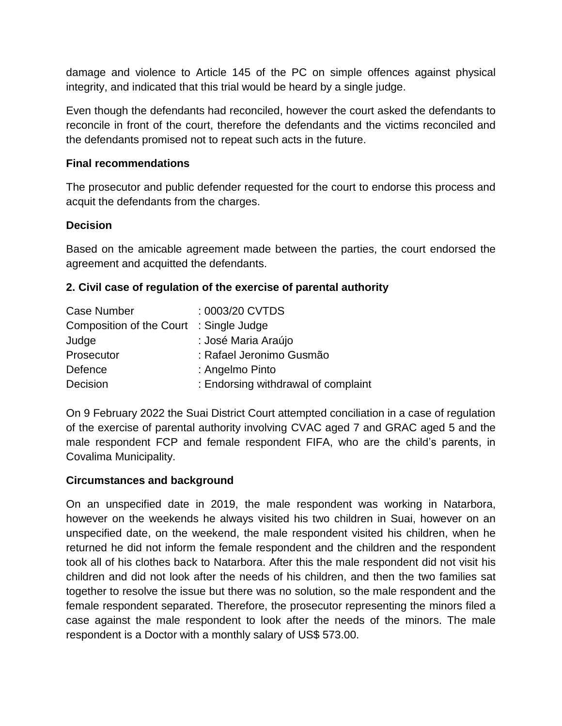damage and violence to Article 145 of the PC on simple offences against physical integrity, and indicated that this trial would be heard by a single judge.

Even though the defendants had reconciled, however the court asked the defendants to reconcile in front of the court, therefore the defendants and the victims reconciled and the defendants promised not to repeat such acts in the future.

### **Final recommendations**

The prosecutor and public defender requested for the court to endorse this process and acquit the defendants from the charges.

### **Decision**

Based on the amicable agreement made between the parties, the court endorsed the agreement and acquitted the defendants.

## **2. Civil case of regulation of the exercise of parental authority**

| Case Number                             | : 0003/20 CVTDS                     |
|-----------------------------------------|-------------------------------------|
| Composition of the Court : Single Judge |                                     |
| Judge                                   | : José Maria Araújo                 |
| Prosecutor                              | : Rafael Jeronimo Gusmão            |
| Defence                                 | : Angelmo Pinto                     |
| Decision                                | : Endorsing withdrawal of complaint |

On 9 February 2022 the Suai District Court attempted conciliation in a case of regulation of the exercise of parental authority involving CVAC aged 7 and GRAC aged 5 and the male respondent FCP and female respondent FIFA, who are the child's parents, in Covalima Municipality.

### **Circumstances and background**

On an unspecified date in 2019, the male respondent was working in Natarbora, however on the weekends he always visited his two children in Suai, however on an unspecified date, on the weekend, the male respondent visited his children, when he returned he did not inform the female respondent and the children and the respondent took all of his clothes back to Natarbora. After this the male respondent did not visit his children and did not look after the needs of his children, and then the two families sat together to resolve the issue but there was no solution, so the male respondent and the female respondent separated. Therefore, the prosecutor representing the minors filed a case against the male respondent to look after the needs of the minors. The male respondent is a Doctor with a monthly salary of US\$ 573.00.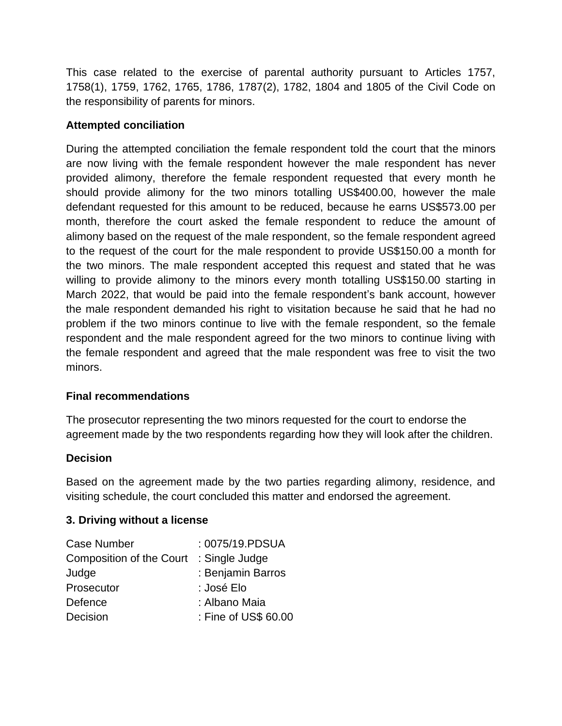This case related to the exercise of parental authority pursuant to Articles 1757, 1758(1), 1759, 1762, 1765, 1786, 1787(2), 1782, 1804 and 1805 of the Civil Code on the responsibility of parents for minors.

## **Attempted conciliation**

During the attempted conciliation the female respondent told the court that the minors are now living with the female respondent however the male respondent has never provided alimony, therefore the female respondent requested that every month he should provide alimony for the two minors totalling US\$400.00, however the male defendant requested for this amount to be reduced, because he earns US\$573.00 per month, therefore the court asked the female respondent to reduce the amount of alimony based on the request of the male respondent, so the female respondent agreed to the request of the court for the male respondent to provide US\$150.00 a month for the two minors. The male respondent accepted this request and stated that he was willing to provide alimony to the minors every month totalling US\$150.00 starting in March 2022, that would be paid into the female respondent's bank account, however the male respondent demanded his right to visitation because he said that he had no problem if the two minors continue to live with the female respondent, so the female respondent and the male respondent agreed for the two minors to continue living with the female respondent and agreed that the male respondent was free to visit the two minors.

## **Final recommendations**

The prosecutor representing the two minors requested for the court to endorse the agreement made by the two respondents regarding how they will look after the children.

## **Decision**

Based on the agreement made by the two parties regarding alimony, residence, and visiting schedule, the court concluded this matter and endorsed the agreement.

## **3. Driving without a license**

| <b>Case Number</b>              | : 0075/19.PDSUA      |
|---------------------------------|----------------------|
| <b>Composition of the Court</b> | : Single Judge       |
| Judge                           | : Benjamin Barros    |
| Prosecutor                      | : José Elo           |
| Defence                         | : Albano Maia        |
| Decision                        | : Fine of US\$ 60.00 |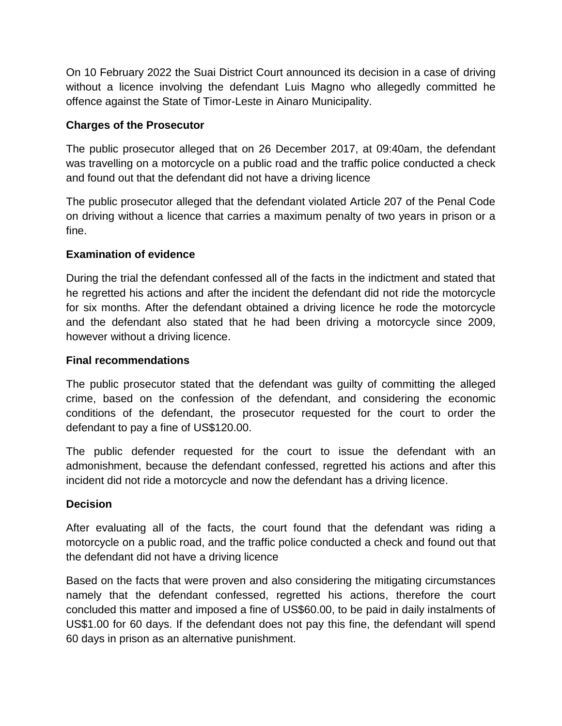On 10 February 2022 the Suai District Court announced its decision in a case of driving without a licence involving the defendant Luis Magno who allegedly committed he offence against the State of Timor-Leste in Ainaro Municipality.

## **Charges of the Prosecutor**

The public prosecutor alleged that on 26 December 2017, at 09:40am, the defendant was travelling on a motorcycle on a public road and the traffic police conducted a check and found out that the defendant did not have a driving licence

The public prosecutor alleged that the defendant violated Article 207 of the Penal Code on driving without a licence that carries a maximum penalty of two years in prison or a fine.

# **Examination of evidence**

During the trial the defendant confessed all of the facts in the indictment and stated that he regretted his actions and after the incident the defendant did not ride the motorcycle for six months. After the defendant obtained a driving licence he rode the motorcycle and the defendant also stated that he had been driving a motorcycle since 2009, however without a driving licence.

# **Final recommendations**

The public prosecutor stated that the defendant was guilty of committing the alleged crime, based on the confession of the defendant, and considering the economic conditions of the defendant, the prosecutor requested for the court to order the defendant to pay a fine of US\$120.00.

The public defender requested for the court to issue the defendant with an admonishment, because the defendant confessed, regretted his actions and after this incident did not ride a motorcycle and now the defendant has a driving licence.

## **Decision**

After evaluating all of the facts, the court found that the defendant was riding a motorcycle on a public road, and the traffic police conducted a check and found out that the defendant did not have a driving licence

Based on the facts that were proven and also considering the mitigating circumstances namely that the defendant confessed, regretted his actions, therefore the court concluded this matter and imposed a fine of US\$60.00, to be paid in daily instalments of US\$1.00 for 60 days. If the defendant does not pay this fine, the defendant will spend 60 days in prison as an alternative punishment.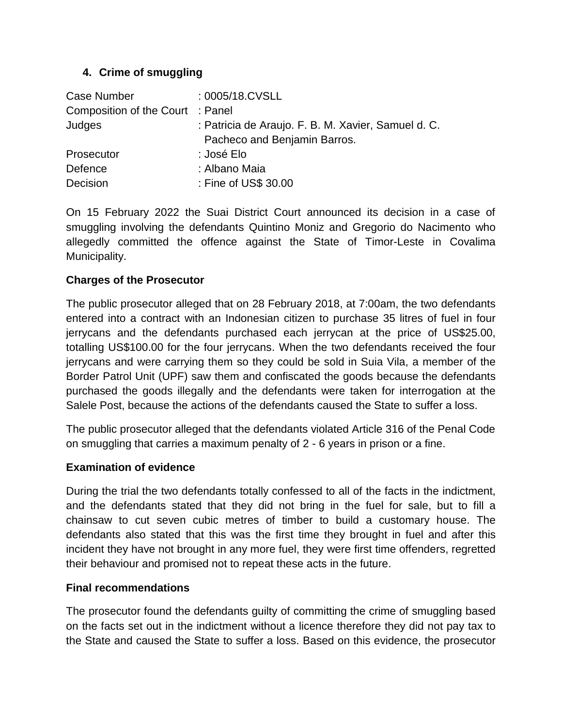# **4. Crime of smuggling**

| Case Number                      | : 0005/18.CVSLL                                     |
|----------------------------------|-----------------------------------------------------|
| Composition of the Court : Panel |                                                     |
| Judges                           | : Patricia de Araujo. F. B. M. Xavier, Samuel d. C. |
|                                  | Pacheco and Benjamin Barros.                        |
| Prosecutor                       | : José Elo                                          |
| Defence                          | : Albano Maia                                       |
| Decision                         | : Fine of US\$ 30.00                                |

On 15 February 2022 the Suai District Court announced its decision in a case of smuggling involving the defendants Quintino Moniz and Gregorio do Nacimento who allegedly committed the offence against the State of Timor-Leste in Covalima Municipality.

# **Charges of the Prosecutor**

The public prosecutor alleged that on 28 February 2018, at 7:00am, the two defendants entered into a contract with an Indonesian citizen to purchase 35 litres of fuel in four jerrycans and the defendants purchased each jerrycan at the price of US\$25.00, totalling US\$100.00 for the four jerrycans. When the two defendants received the four jerrycans and were carrying them so they could be sold in Suia Vila, a member of the Border Patrol Unit (UPF) saw them and confiscated the goods because the defendants purchased the goods illegally and the defendants were taken for interrogation at the Salele Post, because the actions of the defendants caused the State to suffer a loss.

The public prosecutor alleged that the defendants violated Article 316 of the Penal Code on smuggling that carries a maximum penalty of 2 - 6 years in prison or a fine.

## **Examination of evidence**

During the trial the two defendants totally confessed to all of the facts in the indictment, and the defendants stated that they did not bring in the fuel for sale, but to fill a chainsaw to cut seven cubic metres of timber to build a customary house. The defendants also stated that this was the first time they brought in fuel and after this incident they have not brought in any more fuel, they were first time offenders, regretted their behaviour and promised not to repeat these acts in the future.

## **Final recommendations**

The prosecutor found the defendants guilty of committing the crime of smuggling based on the facts set out in the indictment without a licence therefore they did not pay tax to the State and caused the State to suffer a loss. Based on this evidence, the prosecutor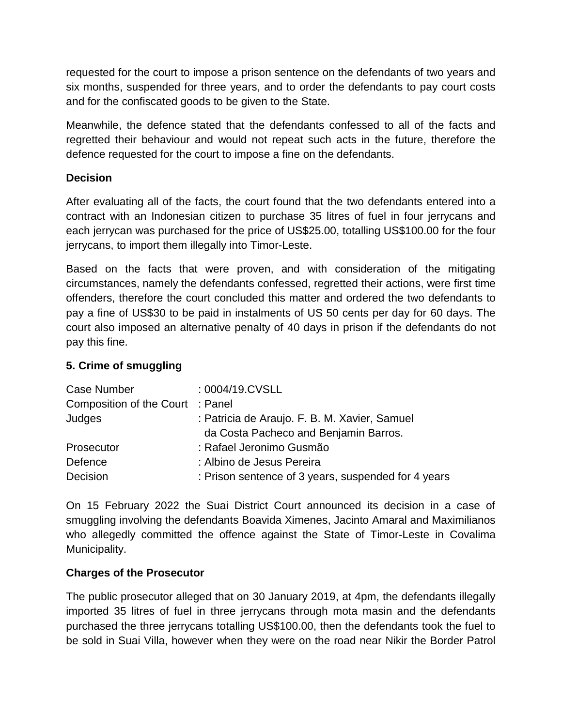requested for the court to impose a prison sentence on the defendants of two years and six months, suspended for three years, and to order the defendants to pay court costs and for the confiscated goods to be given to the State.

Meanwhile, the defence stated that the defendants confessed to all of the facts and regretted their behaviour and would not repeat such acts in the future, therefore the defence requested for the court to impose a fine on the defendants.

## **Decision**

After evaluating all of the facts, the court found that the two defendants entered into a contract with an Indonesian citizen to purchase 35 litres of fuel in four jerrycans and each jerrycan was purchased for the price of US\$25.00, totalling US\$100.00 for the four jerrycans, to import them illegally into Timor-Leste.

Based on the facts that were proven, and with consideration of the mitigating circumstances, namely the defendants confessed, regretted their actions, were first time offenders, therefore the court concluded this matter and ordered the two defendants to pay a fine of US\$30 to be paid in instalments of US 50 cents per day for 60 days. The court also imposed an alternative penalty of 40 days in prison if the defendants do not pay this fine.

## **5. Crime of smuggling**

| Case Number                      | : 0004/19.CVSLL                                     |
|----------------------------------|-----------------------------------------------------|
| Composition of the Court : Panel |                                                     |
| Judges                           | : Patricia de Araujo. F. B. M. Xavier, Samuel       |
|                                  | da Costa Pacheco and Benjamin Barros.               |
| Prosecutor                       | : Rafael Jeronimo Gusmão                            |
| Defence                          | : Albino de Jesus Pereira                           |
| Decision                         | : Prison sentence of 3 years, suspended for 4 years |

On 15 February 2022 the Suai District Court announced its decision in a case of smuggling involving the defendants Boavida Ximenes, Jacinto Amaral and Maximilianos who allegedly committed the offence against the State of Timor-Leste in Covalima Municipality.

## **Charges of the Prosecutor**

The public prosecutor alleged that on 30 January 2019, at 4pm, the defendants illegally imported 35 litres of fuel in three jerrycans through mota masin and the defendants purchased the three jerrycans totalling US\$100.00, then the defendants took the fuel to be sold in Suai Villa, however when they were on the road near Nikir the Border Patrol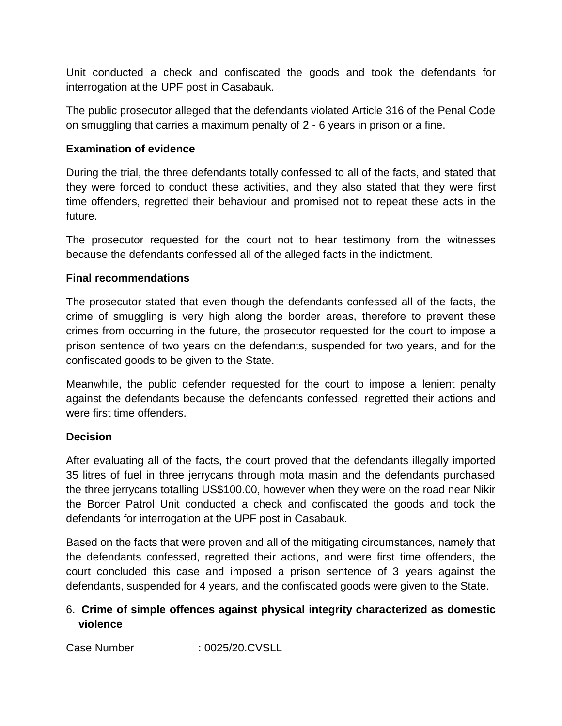Unit conducted a check and confiscated the goods and took the defendants for interrogation at the UPF post in Casabauk.

The public prosecutor alleged that the defendants violated Article 316 of the Penal Code on smuggling that carries a maximum penalty of 2 - 6 years in prison or a fine.

## **Examination of evidence**

During the trial, the three defendants totally confessed to all of the facts, and stated that they were forced to conduct these activities, and they also stated that they were first time offenders, regretted their behaviour and promised not to repeat these acts in the future.

The prosecutor requested for the court not to hear testimony from the witnesses because the defendants confessed all of the alleged facts in the indictment.

## **Final recommendations**

The prosecutor stated that even though the defendants confessed all of the facts, the crime of smuggling is very high along the border areas, therefore to prevent these crimes from occurring in the future, the prosecutor requested for the court to impose a prison sentence of two years on the defendants, suspended for two years, and for the confiscated goods to be given to the State.

Meanwhile, the public defender requested for the court to impose a lenient penalty against the defendants because the defendants confessed, regretted their actions and were first time offenders.

# **Decision**

After evaluating all of the facts, the court proved that the defendants illegally imported 35 litres of fuel in three jerrycans through mota masin and the defendants purchased the three jerrycans totalling US\$100.00, however when they were on the road near Nikir the Border Patrol Unit conducted a check and confiscated the goods and took the defendants for interrogation at the UPF post in Casabauk.

Based on the facts that were proven and all of the mitigating circumstances, namely that the defendants confessed, regretted their actions, and were first time offenders, the court concluded this case and imposed a prison sentence of 3 years against the defendants, suspended for 4 years, and the confiscated goods were given to the State.

# 6. **Crime of simple offences against physical integrity characterized as domestic violence**

Case Number : 0025/20.CVSLL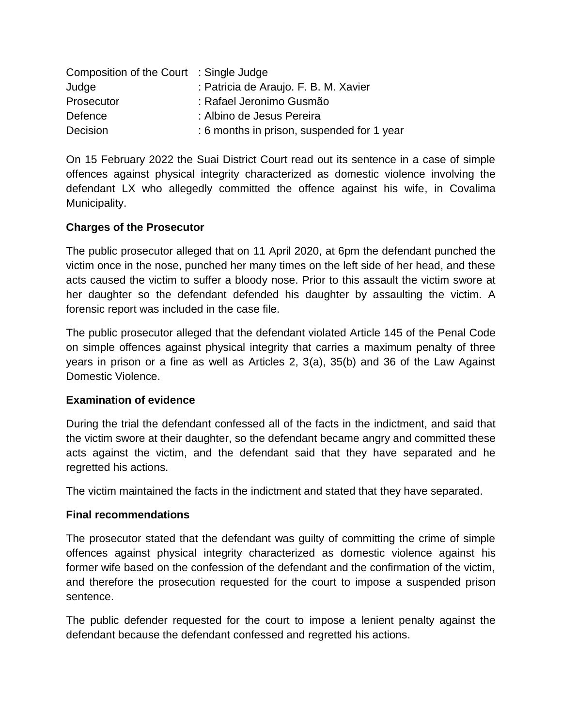| Composition of the Court : Single Judge |                                            |
|-----------------------------------------|--------------------------------------------|
| Judge                                   | : Patricia de Araujo. F. B. M. Xavier      |
| Prosecutor                              | : Rafael Jeronimo Gusmão                   |
| Defence                                 | : Albino de Jesus Pereira                  |
| Decision                                | : 6 months in prison, suspended for 1 year |

On 15 February 2022 the Suai District Court read out its sentence in a case of simple offences against physical integrity characterized as domestic violence involving the defendant LX who allegedly committed the offence against his wife, in Covalima Municipality.

## **Charges of the Prosecutor**

The public prosecutor alleged that on 11 April 2020, at 6pm the defendant punched the victim once in the nose, punched her many times on the left side of her head, and these acts caused the victim to suffer a bloody nose. Prior to this assault the victim swore at her daughter so the defendant defended his daughter by assaulting the victim. A forensic report was included in the case file.

The public prosecutor alleged that the defendant violated Article 145 of the Penal Code on simple offences against physical integrity that carries a maximum penalty of three years in prison or a fine as well as Articles 2, 3(a), 35(b) and 36 of the Law Against Domestic Violence.

### **Examination of evidence**

During the trial the defendant confessed all of the facts in the indictment, and said that the victim swore at their daughter, so the defendant became angry and committed these acts against the victim, and the defendant said that they have separated and he regretted his actions.

The victim maintained the facts in the indictment and stated that they have separated.

### **Final recommendations**

The prosecutor stated that the defendant was guilty of committing the crime of simple offences against physical integrity characterized as domestic violence against his former wife based on the confession of the defendant and the confirmation of the victim, and therefore the prosecution requested for the court to impose a suspended prison sentence.

The public defender requested for the court to impose a lenient penalty against the defendant because the defendant confessed and regretted his actions.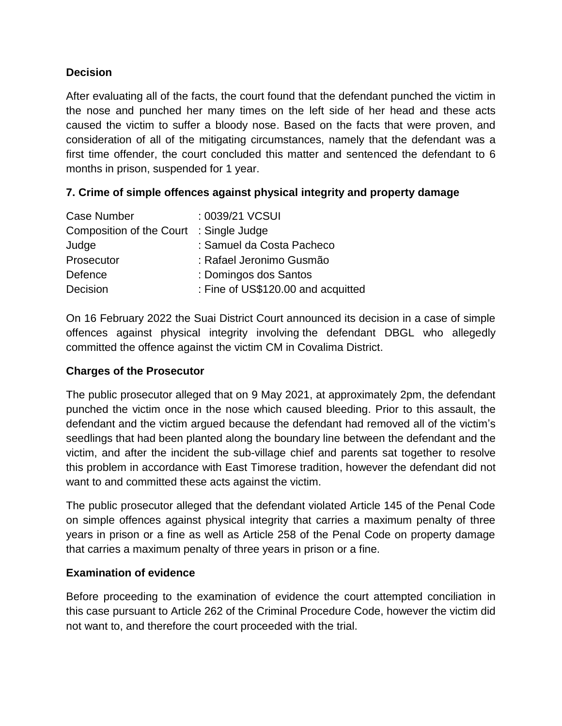## **Decision**

After evaluating all of the facts, the court found that the defendant punched the victim in the nose and punched her many times on the left side of her head and these acts caused the victim to suffer a bloody nose. Based on the facts that were proven, and consideration of all of the mitigating circumstances, namely that the defendant was a first time offender, the court concluded this matter and sentenced the defendant to 6 months in prison, suspended for 1 year.

# **7. Crime of simple offences against physical integrity and property damage**

| Case Number                             | : 0039/21 VCSUI                    |
|-----------------------------------------|------------------------------------|
| Composition of the Court : Single Judge |                                    |
| Judge                                   | : Samuel da Costa Pacheco          |
| Prosecutor                              | : Rafael Jeronimo Gusmão           |
| Defence                                 | : Domingos dos Santos              |
| Decision                                | : Fine of US\$120.00 and acquitted |

On 16 February 2022 the Suai District Court announced its decision in a case of simple offences against physical integrity involving the defendant DBGL who allegedly committed the offence against the victim CM in Covalima District.

## **Charges of the Prosecutor**

The public prosecutor alleged that on 9 May 2021, at approximately 2pm, the defendant punched the victim once in the nose which caused bleeding. Prior to this assault, the defendant and the victim argued because the defendant had removed all of the victim's seedlings that had been planted along the boundary line between the defendant and the victim, and after the incident the sub-village chief and parents sat together to resolve this problem in accordance with East Timorese tradition, however the defendant did not want to and committed these acts against the victim.

The public prosecutor alleged that the defendant violated Article 145 of the Penal Code on simple offences against physical integrity that carries a maximum penalty of three years in prison or a fine as well as Article 258 of the Penal Code on property damage that carries a maximum penalty of three years in prison or a fine.

### **Examination of evidence**

Before proceeding to the examination of evidence the court attempted conciliation in this case pursuant to Article 262 of the Criminal Procedure Code, however the victim did not want to, and therefore the court proceeded with the trial.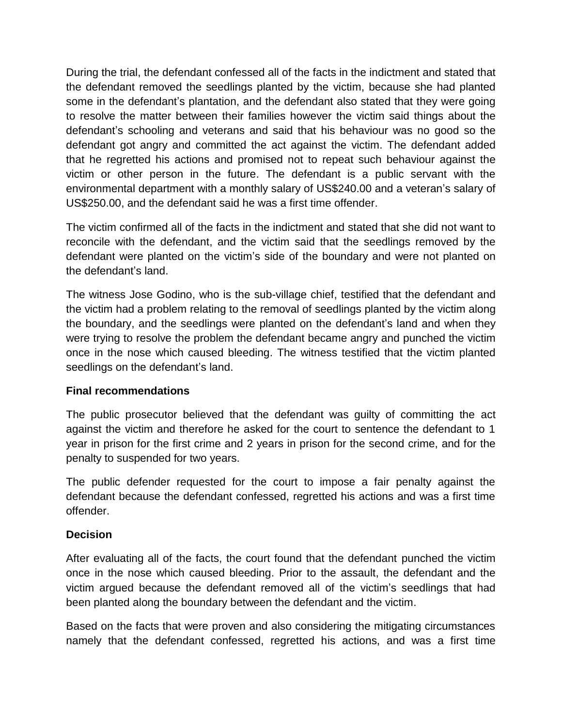During the trial, the defendant confessed all of the facts in the indictment and stated that the defendant removed the seedlings planted by the victim, because she had planted some in the defendant's plantation, and the defendant also stated that they were going to resolve the matter between their families however the victim said things about the defendant's schooling and veterans and said that his behaviour was no good so the defendant got angry and committed the act against the victim. The defendant added that he regretted his actions and promised not to repeat such behaviour against the victim or other person in the future. The defendant is a public servant with the environmental department with a monthly salary of US\$240.00 and a veteran's salary of US\$250.00, and the defendant said he was a first time offender.

The victim confirmed all of the facts in the indictment and stated that she did not want to reconcile with the defendant, and the victim said that the seedlings removed by the defendant were planted on the victim's side of the boundary and were not planted on the defendant's land.

The witness Jose Godino, who is the sub-village chief, testified that the defendant and the victim had a problem relating to the removal of seedlings planted by the victim along the boundary, and the seedlings were planted on the defendant's land and when they were trying to resolve the problem the defendant became angry and punched the victim once in the nose which caused bleeding. The witness testified that the victim planted seedlings on the defendant's land.

## **Final recommendations**

The public prosecutor believed that the defendant was guilty of committing the act against the victim and therefore he asked for the court to sentence the defendant to 1 year in prison for the first crime and 2 years in prison for the second crime, and for the penalty to suspended for two years.

The public defender requested for the court to impose a fair penalty against the defendant because the defendant confessed, regretted his actions and was a first time offender.

### **Decision**

After evaluating all of the facts, the court found that the defendant punched the victim once in the nose which caused bleeding. Prior to the assault, the defendant and the victim argued because the defendant removed all of the victim's seedlings that had been planted along the boundary between the defendant and the victim.

Based on the facts that were proven and also considering the mitigating circumstances namely that the defendant confessed, regretted his actions, and was a first time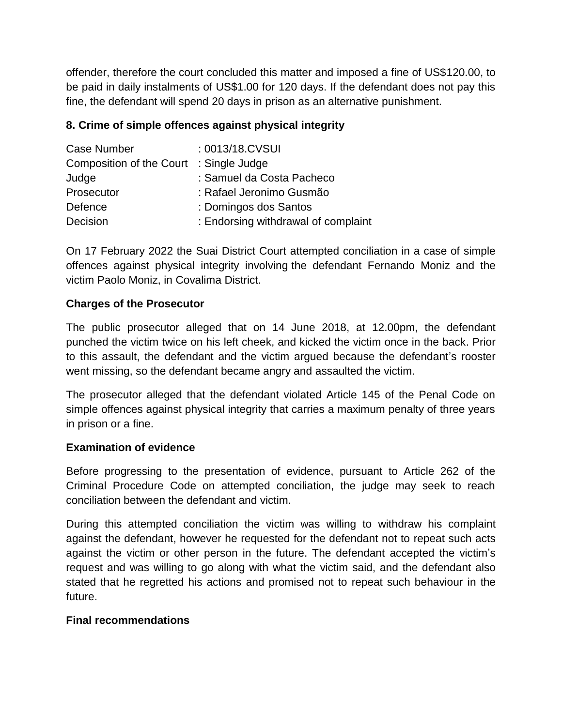offender, therefore the court concluded this matter and imposed a fine of US\$120.00, to be paid in daily instalments of US\$1.00 for 120 days. If the defendant does not pay this fine, the defendant will spend 20 days in prison as an alternative punishment.

## **8. Crime of simple offences against physical integrity**

| Case Number                             | : 0013/18.CVSUI                     |
|-----------------------------------------|-------------------------------------|
| Composition of the Court : Single Judge |                                     |
| Judge                                   | : Samuel da Costa Pacheco           |
| Prosecutor                              | : Rafael Jeronimo Gusmão            |
| Defence                                 | : Domingos dos Santos               |
| Decision                                | : Endorsing withdrawal of complaint |

On 17 February 2022 the Suai District Court attempted conciliation in a case of simple offences against physical integrity involving the defendant Fernando Moniz and the victim Paolo Moniz, in Covalima District.

### **Charges of the Prosecutor**

The public prosecutor alleged that on 14 June 2018, at 12.00pm, the defendant punched the victim twice on his left cheek, and kicked the victim once in the back. Prior to this assault, the defendant and the victim argued because the defendant's rooster went missing, so the defendant became angry and assaulted the victim.

The prosecutor alleged that the defendant violated Article 145 of the Penal Code on simple offences against physical integrity that carries a maximum penalty of three years in prison or a fine.

### **Examination of evidence**

Before progressing to the presentation of evidence, pursuant to Article 262 of the Criminal Procedure Code on attempted conciliation, the judge may seek to reach conciliation between the defendant and victim.

During this attempted conciliation the victim was willing to withdraw his complaint against the defendant, however he requested for the defendant not to repeat such acts against the victim or other person in the future. The defendant accepted the victim's request and was willing to go along with what the victim said, and the defendant also stated that he regretted his actions and promised not to repeat such behaviour in the future.

### **Final recommendations**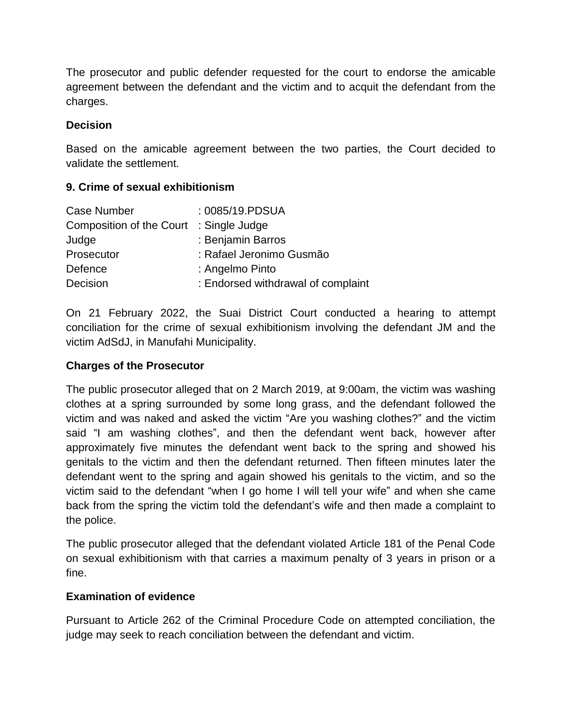The prosecutor and public defender requested for the court to endorse the amicable agreement between the defendant and the victim and to acquit the defendant from the charges.

### **Decision**

Based on the amicable agreement between the two parties, the Court decided to validate the settlement.

### **9. Crime of sexual exhibitionism**

| Case Number                             | : 0085/19.PDSUA                    |
|-----------------------------------------|------------------------------------|
| Composition of the Court : Single Judge |                                    |
| Judge                                   | : Benjamin Barros                  |
| Prosecutor                              | : Rafael Jeronimo Gusmão           |
| Defence                                 | : Angelmo Pinto                    |
| Decision                                | : Endorsed withdrawal of complaint |

On 21 February 2022, the Suai District Court conducted a hearing to attempt conciliation for the crime of sexual exhibitionism involving the defendant JM and the victim AdSdJ, in Manufahi Municipality.

### **Charges of the Prosecutor**

The public prosecutor alleged that on 2 March 2019, at 9:00am, the victim was washing clothes at a spring surrounded by some long grass, and the defendant followed the victim and was naked and asked the victim "Are you washing clothes?" and the victim said "I am washing clothes", and then the defendant went back, however after approximately five minutes the defendant went back to the spring and showed his genitals to the victim and then the defendant returned. Then fifteen minutes later the defendant went to the spring and again showed his genitals to the victim, and so the victim said to the defendant "when I go home I will tell your wife" and when she came back from the spring the victim told the defendant's wife and then made a complaint to the police.

The public prosecutor alleged that the defendant violated Article 181 of the Penal Code on sexual exhibitionism with that carries a maximum penalty of 3 years in prison or a fine.

### **Examination of evidence**

Pursuant to Article 262 of the Criminal Procedure Code on attempted conciliation, the judge may seek to reach conciliation between the defendant and victim.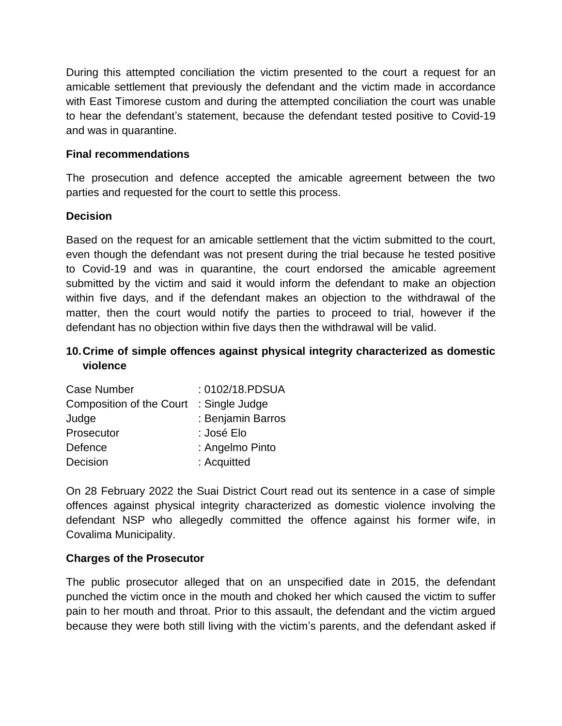During this attempted conciliation the victim presented to the court a request for an amicable settlement that previously the defendant and the victim made in accordance with East Timorese custom and during the attempted conciliation the court was unable to hear the defendant's statement, because the defendant tested positive to Covid-19 and was in quarantine.

### **Final recommendations**

The prosecution and defence accepted the amicable agreement between the two parties and requested for the court to settle this process.

### **Decision**

Based on the request for an amicable settlement that the victim submitted to the court, even though the defendant was not present during the trial because he tested positive to Covid-19 and was in quarantine, the court endorsed the amicable agreement submitted by the victim and said it would inform the defendant to make an objection within five days, and if the defendant makes an objection to the withdrawal of the matter, then the court would notify the parties to proceed to trial, however if the defendant has no objection within five days then the withdrawal will be valid.

## **10.Crime of simple offences against physical integrity characterized as domestic violence**

| <b>Case Number</b>              | : 0102/18.PDSUA   |
|---------------------------------|-------------------|
| <b>Composition of the Court</b> | : Single Judge    |
| Judge                           | : Benjamin Barros |
| Prosecutor                      | : José Elo        |
| Defence                         | : Angelmo Pinto   |
| Decision                        | : Acquitted       |

On 28 February 2022 the Suai District Court read out its sentence in a case of simple offences against physical integrity characterized as domestic violence involving the defendant NSP who allegedly committed the offence against his former wife, in Covalima Municipality.

### **Charges of the Prosecutor**

The public prosecutor alleged that on an unspecified date in 2015, the defendant punched the victim once in the mouth and choked her which caused the victim to suffer pain to her mouth and throat. Prior to this assault, the defendant and the victim argued because they were both still living with the victim's parents, and the defendant asked if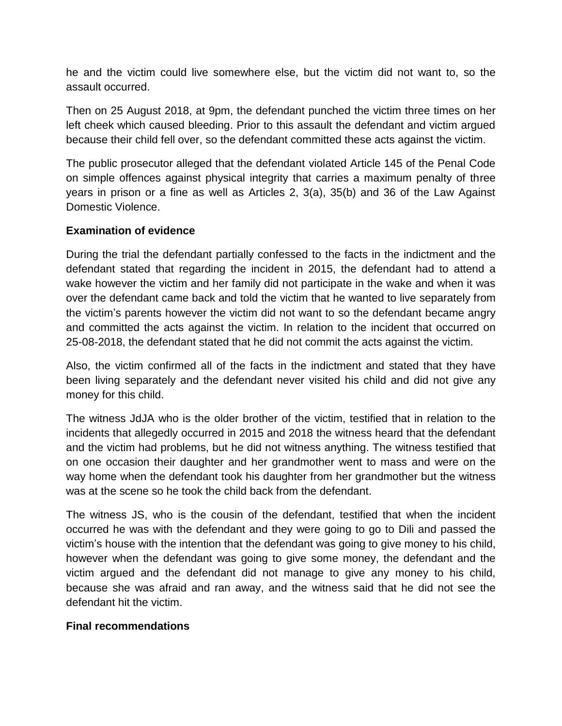he and the victim could live somewhere else, but the victim did not want to, so the assault occurred.

Then on 25 August 2018, at 9pm, the defendant punched the victim three times on her left cheek which caused bleeding. Prior to this assault the defendant and victim argued because their child fell over, so the defendant committed these acts against the victim.

The public prosecutor alleged that the defendant violated Article 145 of the Penal Code on simple offences against physical integrity that carries a maximum penalty of three years in prison or a fine as well as Articles 2, 3(a), 35(b) and 36 of the Law Against Domestic Violence.

### **Examination of evidence**

During the trial the defendant partially confessed to the facts in the indictment and the defendant stated that regarding the incident in 2015, the defendant had to attend a wake however the victim and her family did not participate in the wake and when it was over the defendant came back and told the victim that he wanted to live separately from the victim's parents however the victim did not want to so the defendant became angry and committed the acts against the victim. In relation to the incident that occurred on 25-08-2018, the defendant stated that he did not commit the acts against the victim.

Also, the victim confirmed all of the facts in the indictment and stated that they have been living separately and the defendant never visited his child and did not give any money for this child.

The witness JdJA who is the older brother of the victim, testified that in relation to the incidents that allegedly occurred in 2015 and 2018 the witness heard that the defendant and the victim had problems, but he did not witness anything. The witness testified that on one occasion their daughter and her grandmother went to mass and were on the way home when the defendant took his daughter from her grandmother but the witness was at the scene so he took the child back from the defendant.

The witness JS, who is the cousin of the defendant, testified that when the incident occurred he was with the defendant and they were going to go to Dili and passed the victim's house with the intention that the defendant was going to give money to his child, however when the defendant was going to give some money, the defendant and the victim argued and the defendant did not manage to give any money to his child, because she was afraid and ran away, and the witness said that he did not see the defendant hit the victim.

### **Final recommendations**